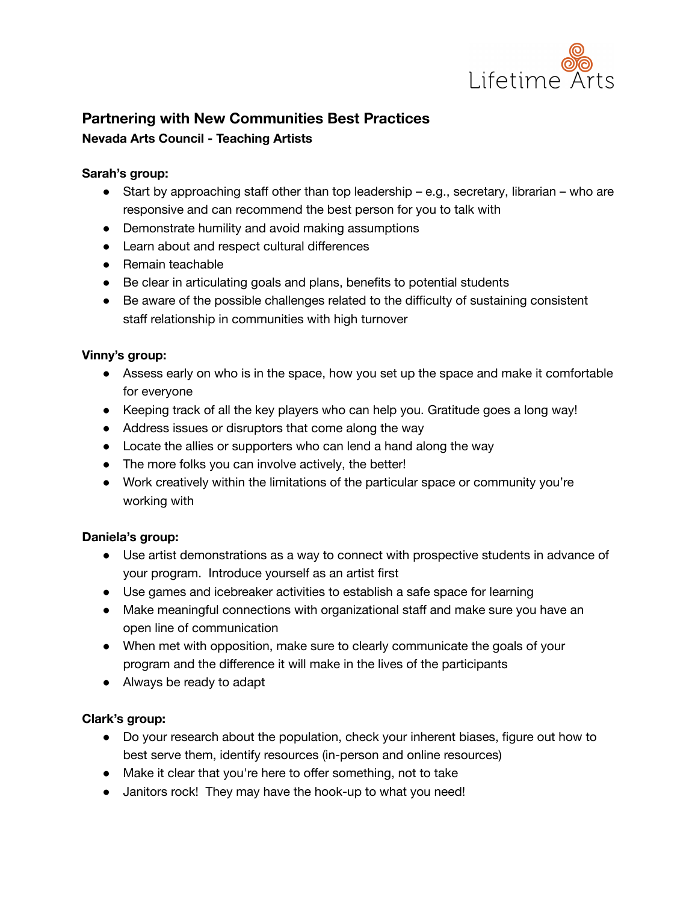

# **Partnering with New Communities Best Practices Nevada Arts Council - Teaching Artists**

#### **Sarah's group:**

- Start by approaching staff other than top leadership e.g., secretary, librarian who are responsive and can recommend the best person for you to talk with
- Demonstrate humility and avoid making assumptions
- Learn about and respect cultural differences
- Remain teachable
- Be clear in articulating goals and plans, benefits to potential students
- Be aware of the possible challenges related to the difficulty of sustaining consistent staff relationship in communities with high turnover

### **Vinny's group:**

- Assess early on who is in the space, how you set up the space and make it comfortable for everyone
- Keeping track of all the key players who can help you. Gratitude goes a long way!
- Address issues or disruptors that come along the way
- Locate the allies or supporters who can lend a hand along the way
- The more folks you can involve actively, the better!
- Work creatively within the limitations of the particular space or community you're working with

## **Daniela's group:**

- Use artist demonstrations as a way to connect with prospective students in advance of your program. Introduce yourself as an artist first
- Use games and icebreaker activities to establish a safe space for learning
- Make meaningful connections with organizational staff and make sure you have an open line of communication
- When met with opposition, make sure to clearly communicate the goals of your program and the difference it will make in the lives of the participants
- Always be ready to adapt

## **Clark's group:**

- Do your research about the population, check your inherent biases, figure out how to best serve them, identify resources (in-person and online resources)
- Make it clear that you're here to offer something, not to take
- Janitors rock! They may have the hook-up to what you need!